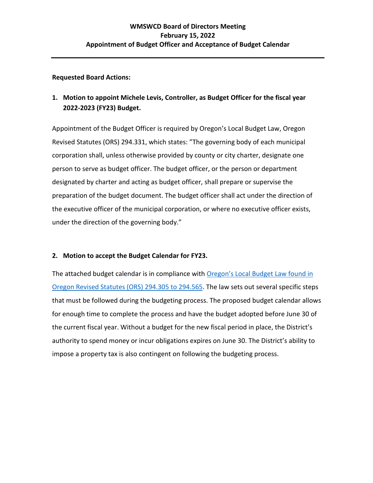## **Requested Board Actions:**

## **1. Motion to appoint Michele Levis, Controller, as Budget Officer for the fiscal year 2022-2023 (FY23) Budget.**

Appointment of the Budget Officer is required by Oregon's Local Budget Law, Oregon Revised Statutes (ORS) 294.331, which states: "The governing body of each municipal corporation shall, unless otherwise provided by county or city charter, designate one person to serve as budget officer. The budget officer, or the person or department designated by charter and acting as budget officer, shall prepare or supervise the preparation of the budget document. The budget officer shall act under the direction of the executive officer of the municipal corporation, or where no executive officer exists, under the direction of the governing body."

## **2. Motion to accept the Budget Calendar for FY23.**

The attached budget calendar is in compliance with [Oregon's Local](https://www.oregonlegislature.gov/bills_laws/ors/ors294.html) Budget Law found in [Oregon Revised Statutes \(ORS\) 294.305 to 294.565.](https://www.oregonlegislature.gov/bills_laws/ors/ors294.html) The law sets out several specific steps that must be followed during the budgeting process. The proposed budget calendar allows for enough time to complete the process and have the budget adopted before June 30 of the current fiscal year. Without a budget for the new fiscal period in place, the District's authority to spend money or incur obligations expires on June 30. The District's ability to impose a property tax is also contingent on following the budgeting process.